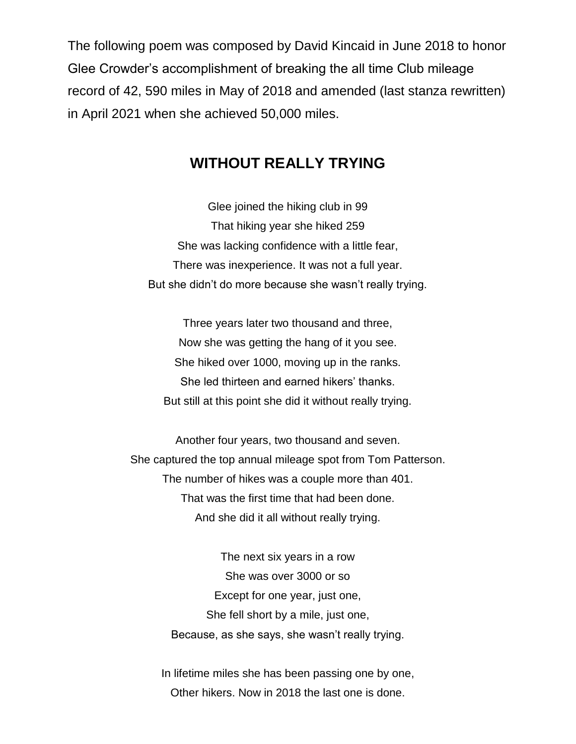The following poem was composed by David Kincaid in June 2018 to honor Glee Crowder's accomplishment of breaking the all time Club mileage record of 42, 590 miles in May of 2018 and amended (last stanza rewritten) in April 2021 when she achieved 50,000 miles.

## **WITHOUT REALLY TRYING**

Glee joined the hiking club in 99 That hiking year she hiked 259 She was lacking confidence with a little fear, There was inexperience. It was not a full year. But she didn't do more because she wasn't really trying.

Three years later two thousand and three, Now she was getting the hang of it you see. She hiked over 1000, moving up in the ranks. She led thirteen and earned hikers' thanks. But still at this point she did it without really trying.

Another four years, two thousand and seven. She captured the top annual mileage spot from Tom Patterson. The number of hikes was a couple more than 401. That was the first time that had been done. And she did it all without really trying.

> The next six years in a row She was over 3000 or so Except for one year, just one, She fell short by a mile, just one, Because, as she says, she wasn't really trying.

In lifetime miles she has been passing one by one, Other hikers. Now in 2018 the last one is done.